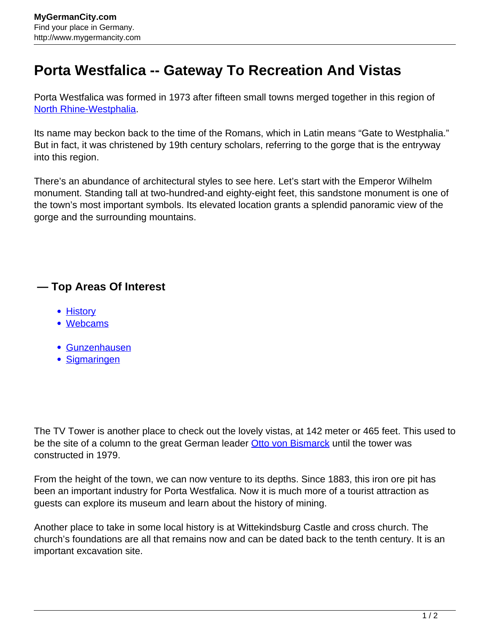## **Porta Westfalica -- Gateway To Recreation And Vistas**

Porta Westfalica was formed in 1973 after fifteen small towns merged together in this region of [North Rhine-Westphalia.](http://www.mygermancity.com/north-rhine-westphalia)

Its name may beckon back to the time of the Romans, which in Latin means "Gate to Westphalia." But in fact, it was christened by 19th century scholars, referring to the gorge that is the entryway into this region.

There's an abundance of architectural styles to see here. Let's start with the Emperor Wilhelm monument. Standing tall at two-hundred-and eighty-eight feet, this sandstone monument is one of the town's most important symbols. Its elevated location grants a splendid panoramic view of the gorge and the surrounding mountains.

## **— Top Areas Of Interest**

- **[History](http://www.mygermancity.com/leipzig-history)**
- [Webcams](http://www.mygermancity.com/neustadt-holstein-webcams)
- [Gunzenhausen](http://www.mygermancity.com/gunzenhausen)
- [Sigmaringen](http://www.mygermancity.com/sigmaringen)

The TV Tower is another place to check out the lovely vistas, at 142 meter or 465 feet. This used to be the site of a column to the great German leader **[Otto von Bismarck](http://www.mygermancity.com/otto-von-bismarck)** until the tower was constructed in 1979.

From the height of the town, we can now venture to its depths. Since 1883, this iron ore pit has been an important industry for Porta Westfalica. Now it is much more of a tourist attraction as guests can explore its museum and learn about the history of mining.

Another place to take in some local history is at Wittekindsburg Castle and cross church. The church's foundations are all that remains now and can be dated back to the tenth century. It is an important excavation site.